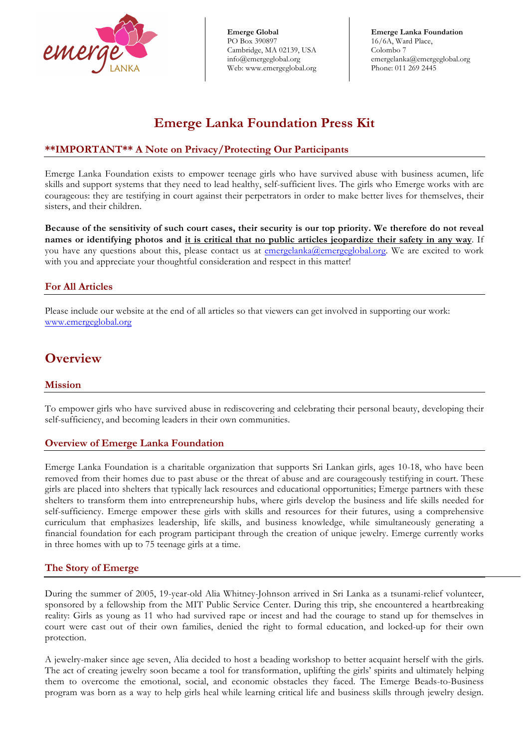

 emergelanka@emergeglobal.org **Emerge Lanka Foundation** 16/6A, Ward Place, Colombo 7 Phone: 011 269 2445

# **Emerge Lanka Foundation Press Kit**

### **\*\*IMPORTANT\*\* A Note on Privacy/Protecting Our Participants**

Emerge Lanka Foundation exists to empower teenage girls who have survived abuse with business acumen, life skills and support systems that they need to lead healthy, self-sufficient lives. The girls who Emerge works with are courageous: they are testifying in court against their perpetrators in order to make better lives for themselves, their sisters, and their children.

**Because of the sensitivity of such court cases, their security is our top priority. We therefore do not reveal names or identifying photos and it is critical that no public articles jeopardize their safety in any way**. If you have any questions about this, please contact us at emergelanka@emergeglobal.org. We are excited to work with you and appreciate your thoughtful consideration and respect in this matter!

### **For All Articles**

Please include our website at the end of all articles so that viewers can get involved in supporting our work: www.emergeglobal.org

# **Overview**

### **Mission**

To empower girls who have survived abuse in rediscovering and celebrating their personal beauty, developing their self-sufficiency, and becoming leaders in their own communities.

### **Overview of Emerge Lanka Foundation**

Emerge Lanka Foundation is a charitable organization that supports Sri Lankan girls, ages 10-18, who have been removed from their homes due to past abuse or the threat of abuse and are courageously testifying in court. These girls are placed into shelters that typically lack resources and educational opportunities; Emerge partners with these shelters to transform them into entrepreneurship hubs, where girls develop the business and life skills needed for self-sufficiency. Emerge empower these girls with skills and resources for their futures, using a comprehensive curriculum that emphasizes leadership, life skills, and business knowledge, while simultaneously generating a financial foundation for each program participant through the creation of unique jewelry. Emerge currently works in three homes with up to 75 teenage girls at a time.

### **The Story of Emerge**

During the summer of 2005, 19-year-old Alia Whitney-Johnson arrived in Sri Lanka as a tsunami-relief volunteer, sponsored by a fellowship from the MIT Public Service Center. During this trip, she encountered a heartbreaking reality: Girls as young as 11 who had survived rape or incest and had the courage to stand up for themselves in court were cast out of their own families, denied the right to formal education, and locked-up for their own protection.

A jewelry-maker since age seven, Alia decided to host a beading workshop to better acquaint herself with the girls. The act of creating jewelry soon became a tool for transformation, uplifting the girls' spirits and ultimately helping them to overcome the emotional, social, and economic obstacles they faced. The Emerge Beads-to-Business program was born as a way to help girls heal while learning critical life and business skills through jewelry design.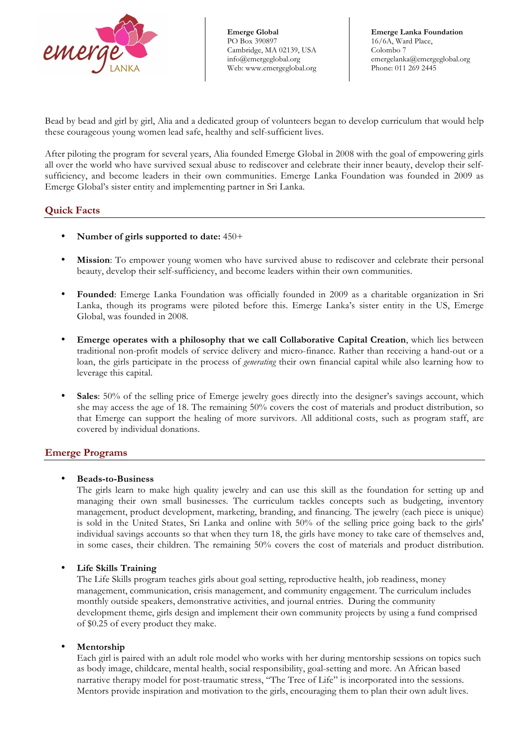

 emergelanka@emergeglobal.org **Emerge Lanka Foundation** 16/6A, Ward Place, Colombo 7 Phone: 011 269 2445

Bead by bead and girl by girl, Alia and a dedicated group of volunteers began to develop curriculum that would help these courageous young women lead safe, healthy and self-sufficient lives.

After piloting the program for several years, Alia founded Emerge Global in 2008 with the goal of empowering girls all over the world who have survived sexual abuse to rediscover and celebrate their inner beauty, develop their selfsufficiency, and become leaders in their own communities. Emerge Lanka Foundation was founded in 2009 as Emerge Global's sister entity and implementing partner in Sri Lanka.

#### **Quick Facts**

- **Number of girls supported to date:** 450+
- **Mission**: To empower young women who have survived abuse to rediscover and celebrate their personal beauty, develop their self-sufficiency, and become leaders within their own communities.
- **Founded**: Emerge Lanka Foundation was officially founded in 2009 as a charitable organization in Sri Lanka, though its programs were piloted before this. Emerge Lanka's sister entity in the US, Emerge Global, was founded in 2008.
- **Emerge operates with a philosophy that we call Collaborative Capital Creation**, which lies between traditional non-profit models of service delivery and micro-finance. Rather than receiving a hand-out or a loan, the girls participate in the process of *generating* their own financial capital while also learning how to leverage this capital.
- **Sales**: 50% of the selling price of Emerge jewelry goes directly into the designer's savings account, which she may access the age of 18. The remaining 50% covers the cost of materials and product distribution, so that Emerge can support the healing of more survivors. All additional costs, such as program staff, are covered by individual donations.

### **Emerge Programs**

#### • **Beads-to-Business**

The girls learn to make high quality jewelry and can use this skill as the foundation for setting up and managing their own small businesses. The curriculum tackles concepts such as budgeting, inventory management, product development, marketing, branding, and financing. The jewelry (each piece is unique) is sold in the United States, Sri Lanka and online with 50% of the selling price going back to the girls' individual savings accounts so that when they turn 18, the girls have money to take care of themselves and, in some cases, their children. The remaining 50% covers the cost of materials and product distribution.

#### • **Life Skills Training**

The Life Skills program teaches girls about goal setting, reproductive health, job readiness, money management, communication, crisis management, and community engagement. The curriculum includes monthly outside speakers, demonstrative activities, and journal entries. During the community development theme, girls design and implement their own community projects by using a fund comprised of \$0.25 of every product they make.

#### • **Mentorship**

Each girl is paired with an adult role model who works with her during mentorship sessions on topics such as body image, childcare, mental health, social responsibility, goal-setting and more. An African based narrative therapy model for post-traumatic stress, "The Tree of Life" is incorporated into the sessions. Mentors provide inspiration and motivation to the girls, encouraging them to plan their own adult lives.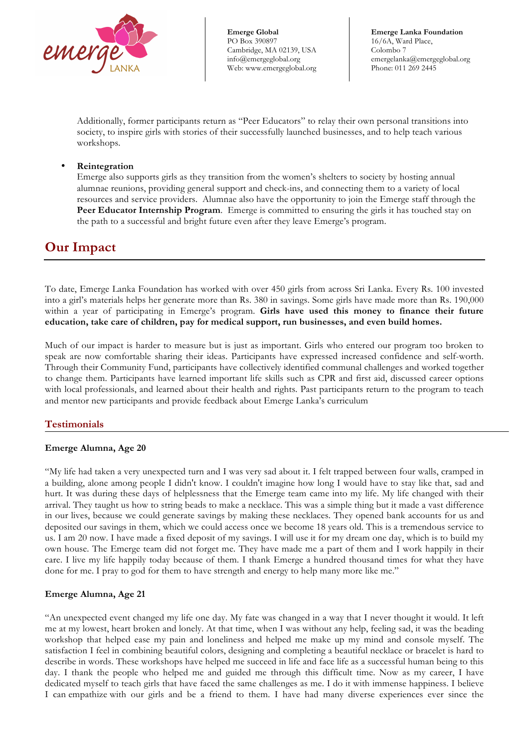

 emergelanka@emergeglobal.org **Emerge Lanka Foundation** 16/6A, Ward Place, Colombo 7 Phone: 011 269 2445

Additionally, former participants return as "Peer Educators" to relay their own personal transitions into society, to inspire girls with stories of their successfully launched businesses, and to help teach various workshops.

#### • **Reintegration**

Emerge also supports girls as they transition from the women's shelters to society by hosting annual alumnae reunions, providing general support and check-ins, and connecting them to a variety of local resources and service providers. Alumnae also have the opportunity to join the Emerge staff through the **Peer Educator Internship Program**. Emerge is committed to ensuring the girls it has touched stay on the path to a successful and bright future even after they leave Emerge's program.

# **Our Impact**

To date, Emerge Lanka Foundation has worked with over 450 girls from across Sri Lanka. Every Rs. 100 invested into a girl's materials helps her generate more than Rs. 380 in savings. Some girls have made more than Rs. 190,000 within a year of participating in Emerge's program. **Girls have used this money to finance their future education, take care of children, pay for medical support, run businesses, and even build homes.**

Much of our impact is harder to measure but is just as important. Girls who entered our program too broken to speak are now comfortable sharing their ideas. Participants have expressed increased confidence and self-worth. Through their Community Fund, participants have collectively identified communal challenges and worked together to change them. Participants have learned important life skills such as CPR and first aid, discussed career options with local professionals, and learned about their health and rights. Past participants return to the program to teach and mentor new participants and provide feedback about Emerge Lanka's curriculum

### **Testimonials**

#### **Emerge Alumna, Age 20**

"My life had taken a very unexpected turn and I was very sad about it. I felt trapped between four walls, cramped in a building, alone among people I didn't know. I couldn't imagine how long I would have to stay like that, sad and hurt. It was during these days of helplessness that the Emerge team came into my life. My life changed with their arrival. They taught us how to string beads to make a necklace. This was a simple thing but it made a vast difference in our lives, because we could generate savings by making these necklaces. They opened bank accounts for us and deposited our savings in them, which we could access once we become 18 years old. This is a tremendous service to us. I am 20 now. I have made a fixed deposit of my savings. I will use it for my dream one day, which is to build my own house. The Emerge team did not forget me. They have made me a part of them and I work happily in their care. I live my life happily today because of them. I thank Emerge a hundred thousand times for what they have done for me. I pray to god for them to have strength and energy to help many more like me."

### **Emerge Alumna, Age 21**

"An unexpected event changed my life one day. My fate was changed in a way that I never thought it would. It left me at my lowest, heart broken and lonely. At that time, when I was without any help, feeling sad, it was the beading workshop that helped ease my pain and loneliness and helped me make up my mind and console myself. The satisfaction I feel in combining beautiful colors, designing and completing a beautiful necklace or bracelet is hard to describe in words. These workshops have helped me succeed in life and face life as a successful human being to this day. I thank the people who helped me and guided me through this difficult time. Now as my career, I have dedicated myself to teach girls that have faced the same challenges as me. I do it with immense happiness. I believe I can empathize with our girls and be a friend to them. I have had many diverse experiences ever since the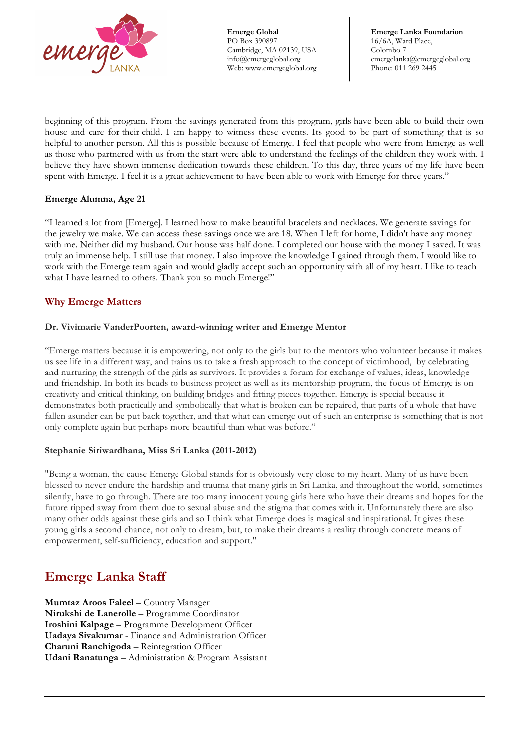

 emergelanka@emergeglobal.org **Emerge Lanka Foundation** 16/6A, Ward Place, Colombo 7 Phone: 011 269 2445

beginning of this program. From the savings generated from this program, girls have been able to build their own house and care for their child. I am happy to witness these events. Its good to be part of something that is so helpful to another person. All this is possible because of Emerge. I feel that people who were from Emerge as well as those who partnered with us from the start were able to understand the feelings of the children they work with. I believe they have shown immense dedication towards these children. To this day, three years of my life have been spent with Emerge. I feel it is a great achievement to have been able to work with Emerge for three years."

#### **Emerge Alumna, Age 21**

"I learned a lot from [Emerge]. I learned how to make beautiful bracelets and necklaces. We generate savings for the jewelry we make. We can access these savings once we are 18. When I left for home, I didn't have any money with me. Neither did my husband. Our house was half done. I completed our house with the money I saved. It was truly an immense help. I still use that money. I also improve the knowledge I gained through them. I would like to work with the Emerge team again and would gladly accept such an opportunity with all of my heart. I like to teach what I have learned to others. Thank you so much Emerge!"

### **Why Emerge Matters**

#### **Dr. Vivimarie VanderPoorten, award-winning writer and Emerge Mentor**

"Emerge matters because it is empowering, not only to the girls but to the mentors who volunteer because it makes us see life in a different way, and trains us to take a fresh approach to the concept of victimhood, by celebrating and nurturing the strength of the girls as survivors. It provides a forum for exchange of values, ideas, knowledge and friendship. In both its beads to business project as well as its mentorship program, the focus of Emerge is on creativity and critical thinking, on building bridges and fitting pieces together. Emerge is special because it demonstrates both practically and symbolically that what is broken can be repaired, that parts of a whole that have fallen asunder can be put back together, and that what can emerge out of such an enterprise is something that is not only complete again but perhaps more beautiful than what was before."

#### **Stephanie Siriwardhana, Miss Sri Lanka (2011-2012)**

"Being a woman, the cause Emerge Global stands for is obviously very close to my heart. Many of us have been blessed to never endure the hardship and trauma that many girls in Sri Lanka, and throughout the world, sometimes silently, have to go through. There are too many innocent young girls here who have their dreams and hopes for the future ripped away from them due to sexual abuse and the stigma that comes with it. Unfortunately there are also many other odds against these girls and so I think what Emerge does is magical and inspirational. It gives these young girls a second chance, not only to dream, but, to make their dreams a reality through concrete means of empowerment, self-sufficiency, education and support."

## **Emerge Lanka Staff**

**Mumtaz Aroos Faleel** – Country Manager **Nirukshi de Lanerolle** – Programme Coordinator **Iroshini Kalpage** – Programme Development Officer **Uadaya Sivakumar** - Finance and Administration Officer **Charuni Ranchigoda** – Reintegration Officer **Udani Ranatunga** – Administration & Program Assistant